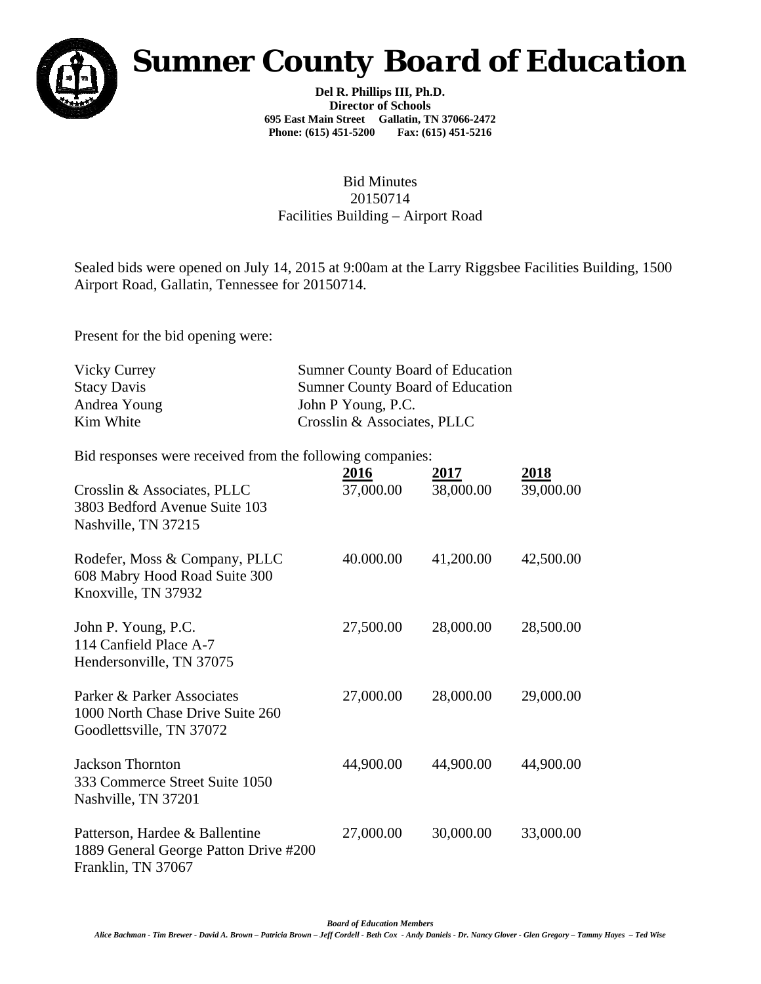

## *Sumner County Board of Education*

**Del R. Phillips III, Ph.D. Director of Schools 695 East Main Street Gallatin, TN 37066-2472 Phone: (615) 451-5200 Fax: (615) 451-5216** 

## Bid Minutes 20150714 Facilities Building – Airport Road

Sealed bids were opened on July 14, 2015 at 9:00am at the Larry Riggsbee Facilities Building, 1500 Airport Road, Gallatin, Tennessee for 20150714.

Present for the bid opening were:

| Vicky Currey       | <b>Sumner County Board of Education</b> |
|--------------------|-----------------------------------------|
| <b>Stacy Davis</b> | <b>Sumner County Board of Education</b> |
| Andrea Young       | John P Young, P.C.                      |
| Kim White          | Crosslin & Associates, PLLC             |

Bid responses were received from the following companies:

| Crosslin & Associates, PLLC<br>3803 Bedford Avenue Suite 103<br>Nashville, TN 37215           | 2016<br>37,000.00 | 2017<br>38,000.00 | 2018<br>39,000.00 |
|-----------------------------------------------------------------------------------------------|-------------------|-------------------|-------------------|
| Rodefer, Moss & Company, PLLC<br>608 Mabry Hood Road Suite 300<br>Knoxville, TN 37932         | 40.000.00         | 41,200.00         | 42,500.00         |
| John P. Young, P.C.<br>114 Canfield Place A-7<br>Hendersonville, TN 37075                     | 27,500.00         | 28,000.00         | 28,500.00         |
| Parker & Parker Associates<br>1000 North Chase Drive Suite 260<br>Goodlettsville, TN 37072    | 27,000.00         | 28,000.00         | 29,000.00         |
| <b>Jackson Thornton</b><br>333 Commerce Street Suite 1050<br>Nashville, TN 37201              | 44,900.00         | 44,900.00         | 44,900.00         |
| Patterson, Hardee & Ballentine<br>1889 General George Patton Drive #200<br>Franklin, TN 37067 | 27,000.00         | 30,000.00         | 33,000.00         |